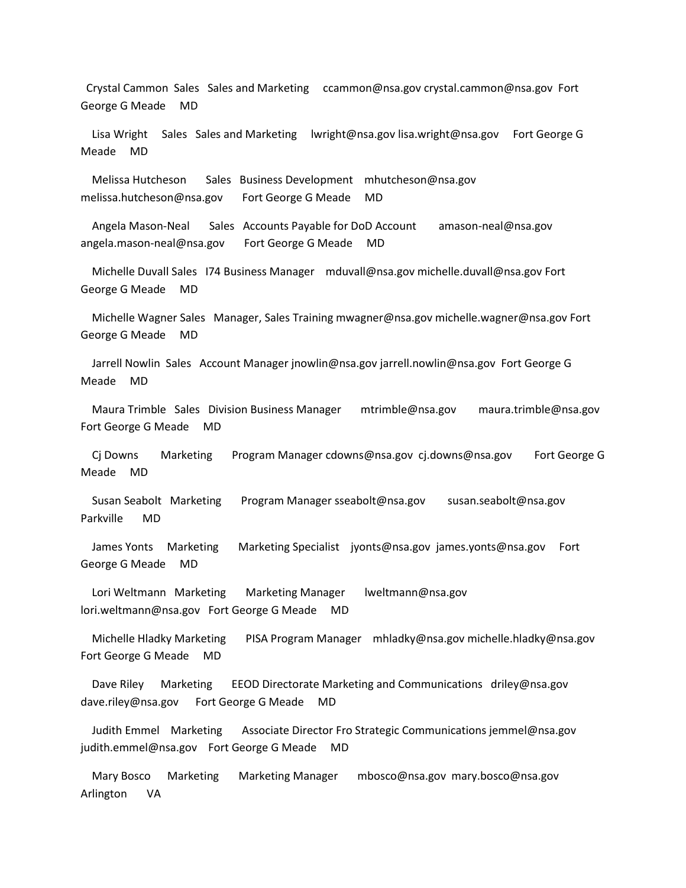Crystal Cammon Sales Sales and Marketing ccammon@nsa.gov crystal.cammon@nsa.gov Fort George G Meade MD

 Lisa Wright Sales Sales and Marketing lwright@nsa.gov lisa.wright@nsa.gov Fort George G Meade MD

 Melissa Hutcheson Sales Business Development mhutcheson@nsa.gov melissa.hutcheson@nsa.gov Fort George G Meade MD

 Angela Mason-Neal Sales Accounts Payable for DoD Account amason-neal@nsa.gov angela.mason-neal@nsa.gov Fort George G Meade MD

 Michelle Duvall Sales I74 Business Manager mduvall@nsa.gov michelle.duvall@nsa.gov Fort George G Meade MD

 Michelle Wagner Sales Manager, Sales Training mwagner@nsa.gov michelle.wagner@nsa.gov Fort George G Meade MD

 Jarrell Nowlin Sales Account Manager jnowlin@nsa.gov jarrell.nowlin@nsa.gov Fort George G Meade MD

 Maura Trimble Sales Division Business Manager mtrimble@nsa.gov maura.trimble@nsa.gov Fort George G Meade MD

 Cj Downs Marketing Program Manager cdowns@nsa.gov cj.downs@nsa.gov Fort George G Meade MD

 Susan Seabolt Marketing Program Manager sseabolt@nsa.gov susan.seabolt@nsa.gov Parkville MD

 James Yonts Marketing Marketing Specialist jyonts@nsa.gov james.yonts@nsa.gov Fort George G Meade MD

 Lori Weltmann Marketing Marketing Manager lweltmann@nsa.gov lori.weltmann@nsa.gov Fort George G Meade MD

 Michelle Hladky Marketing PISA Program Manager mhladky@nsa.gov michelle.hladky@nsa.gov Fort George G Meade MD

 Dave Riley Marketing EEOD Directorate Marketing and Communications driley@nsa.gov dave.riley@nsa.gov Fort George G Meade MD

 Judith Emmel Marketing Associate Director Fro Strategic Communications jemmel@nsa.gov judith.emmel@nsa.gov Fort George G Meade MD

 Mary Bosco Marketing Marketing Manager mbosco@nsa.gov mary.bosco@nsa.gov Arlington VA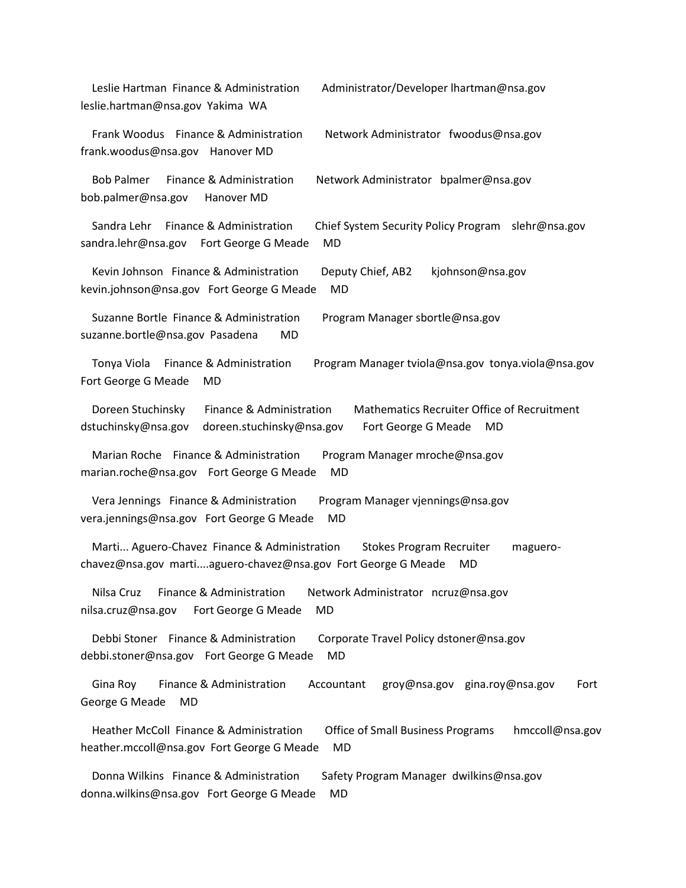| Leslie Hartman Finance & Administration<br>Administrator/Developer lhartman@nsa.gov<br>leslie.hartman@nsa.gov Yakima WA                                                              |
|--------------------------------------------------------------------------------------------------------------------------------------------------------------------------------------|
| Frank Woodus Finance & Administration<br>Network Administrator fwoodus@nsa.gov<br>frank.woodus@nsa.gov<br>Hanover MD                                                                 |
| Finance & Administration<br><b>Bob Palmer</b><br>Network Administrator bpalmer@nsa.gov<br>bob.palmer@nsa.gov<br>Hanover MD                                                           |
| Finance & Administration<br>Sandra Lehr<br>Chief System Security Policy Program<br>slehr@nsa.gov<br><b>MD</b><br>sandra.lehr@nsa.gov Fort George G Meade                             |
| Kevin Johnson Finance & Administration<br>Deputy Chief, AB2<br>kjohnson@nsa.gov<br><b>MD</b><br>kevin.johnson@nsa.gov Fort George G Meade                                            |
| Suzanne Bortle Finance & Administration<br>Program Manager sbortle@nsa.gov<br>suzanne.bortle@nsa.gov Pasadena<br><b>MD</b>                                                           |
| Finance & Administration<br>Program Manager tviola@nsa.gov tonya.viola@nsa.gov<br>Tonya Viola<br>Fort George G Meade<br>MD                                                           |
| <b>Mathematics Recruiter Office of Recruitment</b><br>Doreen Stuchinsky<br>Finance & Administration<br>dstuchinsky@nsa.gov<br>doreen.stuchinsky@nsa.gov<br>Fort George G Meade<br>MD |
| Marian Roche Finance & Administration<br>Program Manager mroche@nsa.gov<br><b>MD</b><br>marian.roche@nsa.gov Fort George G Meade                                                     |
| Vera Jennings Finance & Administration<br>Program Manager vjennings@nsa.gov<br>MD<br>vera.jennings@nsa.gov Fort George G Meade                                                       |
| Marti Aguero-Chavez Finance & Administration<br><b>Stokes Program Recruiter</b><br>maguero-<br>chavez@nsa.gov martiaguero-chavez@nsa.gov Fort George G Meade<br>MD                   |
| Finance & Administration<br>Nilsa Cruz<br>Network Administrator ncruz@nsa.gov<br>nilsa.cruz@nsa.gov<br><b>MD</b><br>Fort George G Meade                                              |
| Debbi Stoner Finance & Administration<br>Corporate Travel Policy dstoner@nsa.gov<br>debbi.stoner@nsa.gov Fort George G Meade<br><b>MD</b>                                            |
| Gina Roy<br>Finance & Administration<br>Accountant<br>groy@nsa.gov gina.roy@nsa.gov<br>Fort<br>George G Meade<br>MD                                                                  |
| Heather McColl Finance & Administration<br><b>Office of Small Business Programs</b><br>hmccoll@nsa.gov<br>heather.mccoll@nsa.gov Fort George G Meade<br><b>MD</b>                    |
| Donna Wilkins Finance & Administration<br>Safety Program Manager dwilkins@nsa.gov<br>donna.wilkins@nsa.gov Fort George G Meade<br>MD                                                 |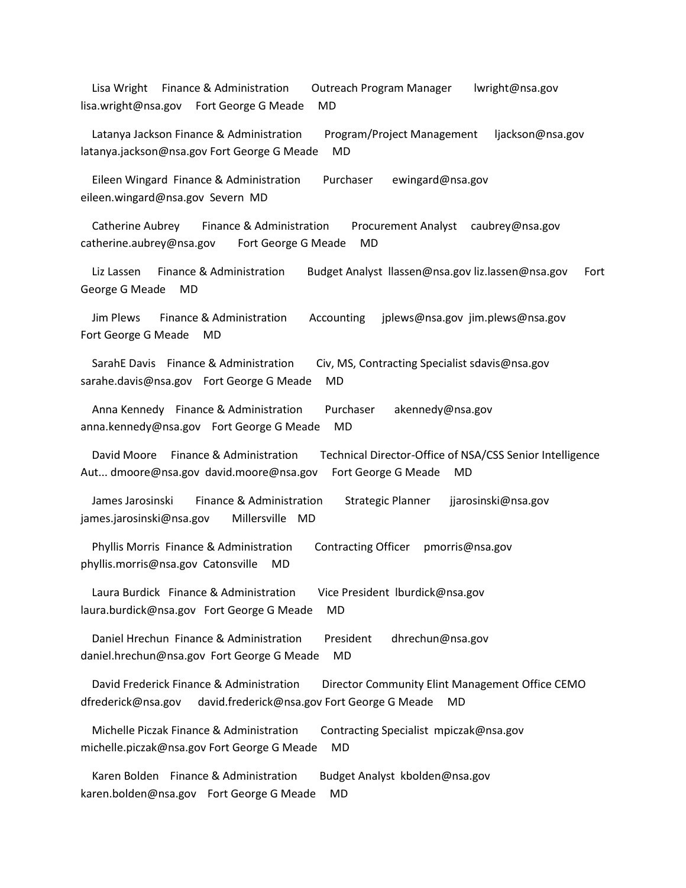Lisa Wright Finance & Administration Outreach Program Manager lwright@nsa.gov lisa.wright@nsa.gov Fort George G Meade MD

Latanya Jackson Finance & Administration Program/Project Management ljackson@nsa.gov latanya.jackson@nsa.gov Fort George G Meade MD

 Eileen Wingard Finance & Administration Purchaser ewingard@nsa.gov eileen.wingard@nsa.gov Severn MD

 Catherine Aubrey Finance & Administration Procurement Analyst caubrey@nsa.gov catherine.aubrey@nsa.gov Fort George G Meade MD

 Liz Lassen Finance & Administration Budget Analyst llassen@nsa.gov liz.lassen@nsa.gov Fort George G Meade MD

 Jim Plews Finance & Administration Accounting jplews@nsa.gov jim.plews@nsa.gov Fort George G Meade MD

SarahE Davis Finance & Administration Civ, MS, Contracting Specialist sdavis@nsa.gov sarahe.davis@nsa.gov Fort George G Meade MD

Anna Kennedy Finance & Administration Purchaser akennedy@nsa.gov anna.kennedy@nsa.gov Fort George G Meade MD

 David Moore Finance & Administration Technical Director-Office of NSA/CSS Senior Intelligence Aut... dmoore@nsa.gov david.moore@nsa.gov Fort George G Meade MD

 James Jarosinski Finance & Administration Strategic Planner jjarosinski@nsa.gov james.jarosinski@nsa.gov Millersville MD

Phyllis Morris Finance & Administration Contracting Officer pmorris@nsa.gov phyllis.morris@nsa.gov Catonsville MD

 Laura Burdick Finance & Administration Vice President lburdick@nsa.gov laura.burdick@nsa.gov Fort George G Meade MD

 Daniel Hrechun Finance & Administration President dhrechun@nsa.gov daniel.hrechun@nsa.gov Fort George G Meade MD

 David Frederick Finance & Administration Director Community Elint Management Office CEMO dfrederick@nsa.gov david.frederick@nsa.gov Fort George G Meade MD

 Michelle Piczak Finance & Administration Contracting Specialist mpiczak@nsa.gov michelle.piczak@nsa.gov Fort George G Meade MD

Karen Bolden Finance & Administration Budget Analyst kbolden@nsa.gov karen.bolden@nsa.gov Fort George G Meade MD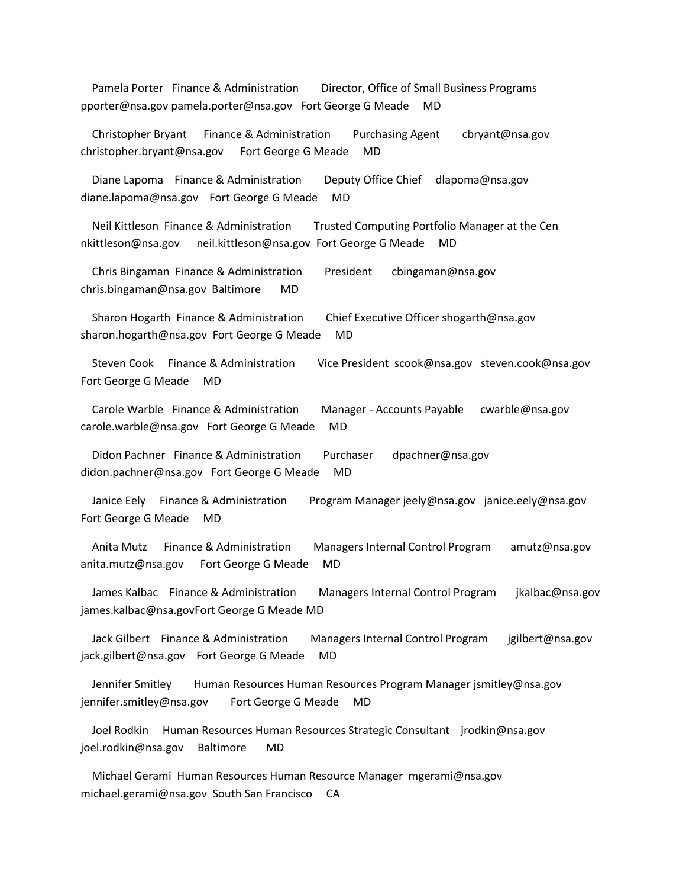Pamela Porter Finance & Administration Director, Office of Small Business Programs pporter@nsa.gov pamela.porter@nsa.gov Fort George G Meade MD

 Christopher Bryant Finance & Administration Purchasing Agent cbryant@nsa.gov christopher.bryant@nsa.gov Fort George G Meade MD

 Diane Lapoma Finance & Administration Deputy Office Chief dlapoma@nsa.gov diane.lapoma@nsa.gov Fort George G Meade MD

 Neil Kittleson Finance & Administration Trusted Computing Portfolio Manager at the Cen nkittleson@nsa.gov neil.kittleson@nsa.gov Fort George G Meade MD

 Chris Bingaman Finance & Administration President cbingaman@nsa.gov chris.bingaman@nsa.gov Baltimore MD

 Sharon Hogarth Finance & Administration Chief Executive Officer shogarth@nsa.gov sharon.hogarth@nsa.gov Fort George G Meade MD

 Steven Cook Finance & Administration Vice President scook@nsa.gov steven.cook@nsa.gov Fort George G Meade MD

 Carole Warble Finance & Administration Manager - Accounts Payable cwarble@nsa.gov carole.warble@nsa.gov Fort George G Meade MD

Didon Pachner Finance & Administration Purchaser dpachner@nsa.gov didon.pachner@nsa.gov Fort George G Meade MD

 Janice Eely Finance & Administration Program Manager jeely@nsa.gov janice.eely@nsa.gov Fort George G Meade MD

 Anita Mutz Finance & Administration Managers Internal Control Program amutz@nsa.gov anita.mutz@nsa.gov Fort George G Meade MD

 James Kalbac Finance & Administration Managers Internal Control Program jkalbac@nsa.gov james.kalbac@nsa.govFort George G Meade MD

 Jack Gilbert Finance & Administration Managers Internal Control Program jgilbert@nsa.gov jack.gilbert@nsa.gov Fort George G Meade MD

 Jennifer Smitley Human Resources Human Resources Program Manager jsmitley@nsa.gov jennifer.smitley@nsa.gov Fort George G Meade MD

 Joel Rodkin Human Resources Human Resources Strategic Consultant jrodkin@nsa.gov joel.rodkin@nsa.gov Baltimore MD

 Michael Gerami Human Resources Human Resource Manager mgerami@nsa.gov michael.gerami@nsa.gov South San Francisco CA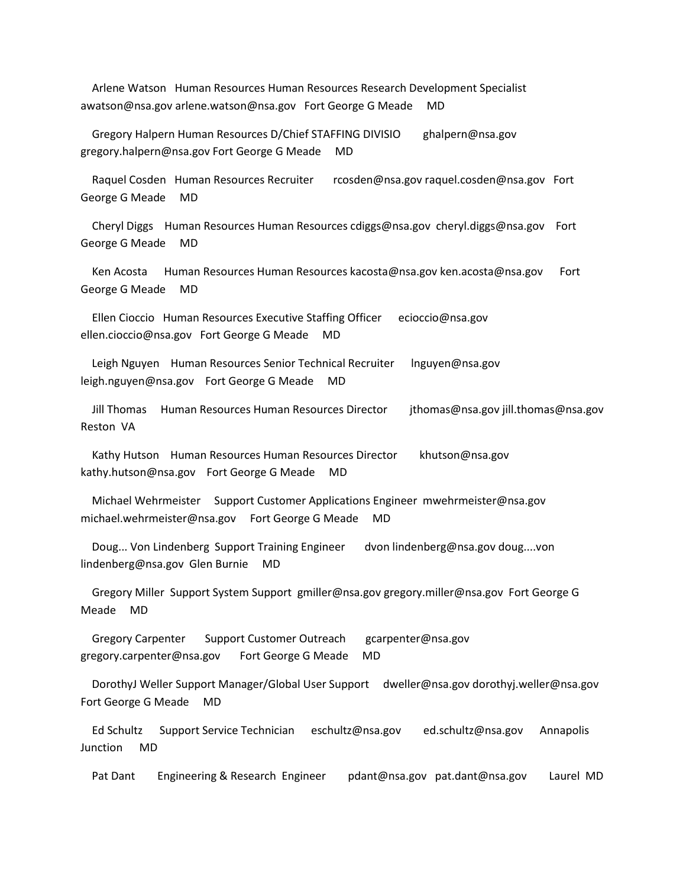Arlene Watson Human Resources Human Resources Research Development Specialist awatson@nsa.gov arlene.watson@nsa.gov Fort George G Meade MD

 Gregory Halpern Human Resources D/Chief STAFFING DIVISIO ghalpern@nsa.gov gregory.halpern@nsa.gov Fort George G Meade MD

 Raquel Cosden Human Resources Recruiter rcosden@nsa.gov raquel.cosden@nsa.gov Fort George G Meade MD

 Cheryl Diggs Human Resources Human Resources cdiggs@nsa.gov cheryl.diggs@nsa.gov Fort George G Meade MD

 Ken Acosta Human Resources Human Resources kacosta@nsa.gov ken.acosta@nsa.gov Fort George G Meade MD

 Ellen Cioccio Human Resources Executive Staffing Officer ecioccio@nsa.gov ellen.cioccio@nsa.gov Fort George G Meade MD

 Leigh Nguyen Human Resources Senior Technical Recruiter lnguyen@nsa.gov leigh.nguyen@nsa.gov Fort George G Meade MD

 Jill Thomas Human Resources Human Resources Director jthomas@nsa.gov jill.thomas@nsa.gov Reston VA

Kathy Hutson Human Resources Human Resources Director khutson@nsa.gov kathy.hutson@nsa.gov Fort George G Meade MD

 Michael Wehrmeister Support Customer Applications Engineer mwehrmeister@nsa.gov michael.wehrmeister@nsa.gov Fort George G Meade MD

 Doug... Von Lindenberg Support Training Engineer dvon lindenberg@nsa.gov doug....von lindenberg@nsa.gov Glen Burnie MD

 Gregory Miller Support System Support gmiller@nsa.gov gregory.miller@nsa.gov Fort George G Meade MD

 Gregory Carpenter Support Customer Outreach gcarpenter@nsa.gov gregory.carpenter@nsa.gov Fort George G Meade MD

 DorothyJ Weller Support Manager/Global User Support dweller@nsa.gov dorothyj.weller@nsa.gov Fort George G Meade MD

 Ed Schultz Support Service Technician eschultz@nsa.gov ed.schultz@nsa.gov Annapolis Junction MD

Pat Dant Engineering & Research Engineer pdant@nsa.gov pat.dant@nsa.gov Laurel MD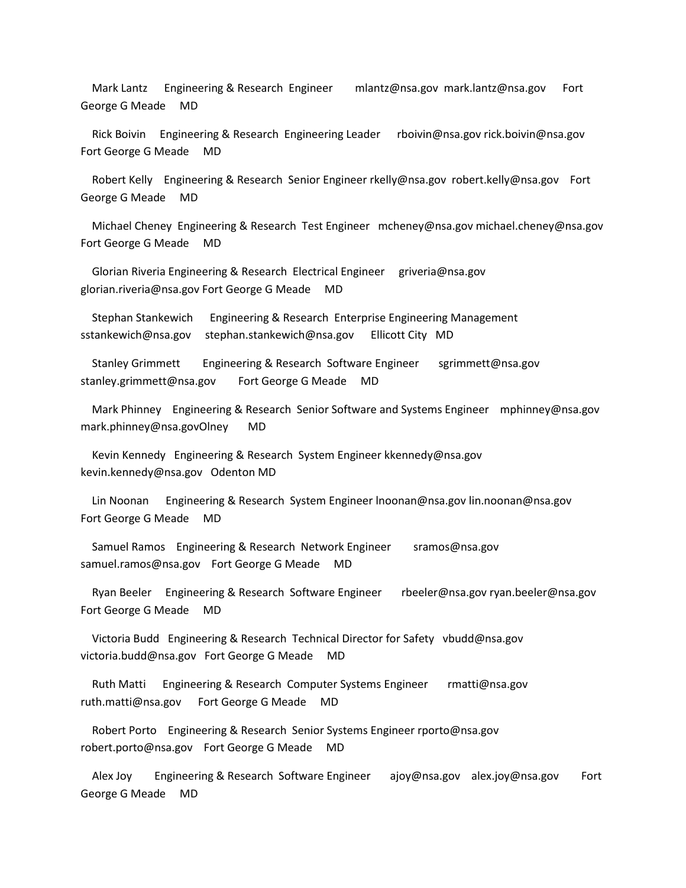Mark Lantz Engineering & Research Engineer mlantz@nsa.gov mark.lantz@nsa.gov Fort George G Meade MD

 Rick Boivin Engineering & Research Engineering Leader rboivin@nsa.gov rick.boivin@nsa.gov Fort George G Meade MD

 Robert Kelly Engineering & Research Senior Engineer rkelly@nsa.gov robert.kelly@nsa.gov Fort George G Meade MD

 Michael Cheney Engineering & Research Test Engineer mcheney@nsa.gov michael.cheney@nsa.gov Fort George G Meade MD

Glorian Riveria Engineering & Research Electrical Engineer griveria@nsa.gov glorian.riveria@nsa.gov Fort George G Meade MD

 Stephan Stankewich Engineering & Research Enterprise Engineering Management sstankewich@nsa.gov stephan.stankewich@nsa.gov Ellicott City MD

Stanley Grimmett Engineering & Research Software Engineer sgrimmett@nsa.gov stanley.grimmett@nsa.gov Fort George G Meade MD

 Mark Phinney Engineering & Research Senior Software and Systems Engineer mphinney@nsa.gov mark.phinney@nsa.govOlney MD

 Kevin Kennedy Engineering & Research System Engineer kkennedy@nsa.gov kevin.kennedy@nsa.gov Odenton MD

 Lin Noonan Engineering & Research System Engineer lnoonan@nsa.gov lin.noonan@nsa.gov Fort George G Meade MD

 Samuel Ramos Engineering & Research Network Engineer sramos@nsa.gov samuel.ramos@nsa.gov Fort George G Meade MD

 Ryan Beeler Engineering & Research Software Engineer rbeeler@nsa.gov ryan.beeler@nsa.gov Fort George G Meade MD

 Victoria Budd Engineering & Research Technical Director for Safety vbudd@nsa.gov victoria.budd@nsa.gov Fort George G Meade MD

 Ruth Matti Engineering & Research Computer Systems Engineer rmatti@nsa.gov ruth.matti@nsa.gov Fort George G Meade MD

 Robert Porto Engineering & Research Senior Systems Engineer rporto@nsa.gov robert.porto@nsa.gov Fort George G Meade MD

 Alex Joy Engineering & Research Software Engineer ajoy@nsa.gov alex.joy@nsa.gov Fort George G Meade MD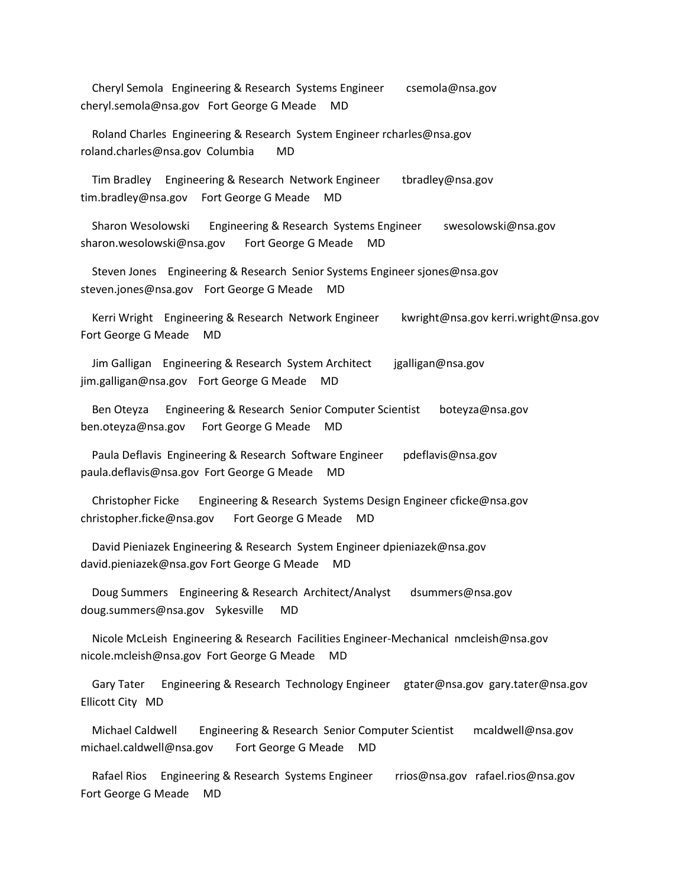Cheryl Semola Engineering & Research Systems Engineer csemola@nsa.gov cheryl.semola@nsa.gov Fort George G Meade MD

 Roland Charles Engineering & Research System Engineer rcharles@nsa.gov roland.charles@nsa.gov Columbia MD

 Tim Bradley Engineering & Research Network Engineer tbradley@nsa.gov tim.bradley@nsa.gov Fort George G Meade MD

 Sharon Wesolowski Engineering & Research Systems Engineer swesolowski@nsa.gov sharon.wesolowski@nsa.gov Fort George G Meade MD

 Steven Jones Engineering & Research Senior Systems Engineer sjones@nsa.gov steven.jones@nsa.gov Fort George G Meade MD

 Kerri Wright Engineering & Research Network Engineer kwright@nsa.gov kerri.wright@nsa.gov Fort George G Meade MD

 Jim Galligan Engineering & Research System Architect jgalligan@nsa.gov jim.galligan@nsa.gov Fort George G Meade MD

 Ben Oteyza Engineering & Research Senior Computer Scientist boteyza@nsa.gov ben.oteyza@nsa.gov Fort George G Meade MD

Paula Deflavis Engineering & Research Software Engineer pdeflavis@nsa.gov paula.deflavis@nsa.gov Fort George G Meade MD

 Christopher Ficke Engineering & Research Systems Design Engineer cficke@nsa.gov christopher.ficke@nsa.gov Fort George G Meade MD

 David Pieniazek Engineering & Research System Engineer dpieniazek@nsa.gov david.pieniazek@nsa.gov Fort George G Meade MD

 Doug Summers Engineering & Research Architect/Analyst dsummers@nsa.gov doug.summers@nsa.gov Sykesville MD

 Nicole McLeish Engineering & Research Facilities Engineer-Mechanical nmcleish@nsa.gov nicole.mcleish@nsa.gov Fort George G Meade MD

 Gary Tater Engineering & Research Technology Engineer gtater@nsa.gov gary.tater@nsa.gov Ellicott City MD

 Michael Caldwell Engineering & Research Senior Computer Scientist mcaldwell@nsa.gov michael.caldwell@nsa.gov Fort George G Meade MD

 Rafael Rios Engineering & Research Systems Engineer rrios@nsa.gov rafael.rios@nsa.gov Fort George G Meade MD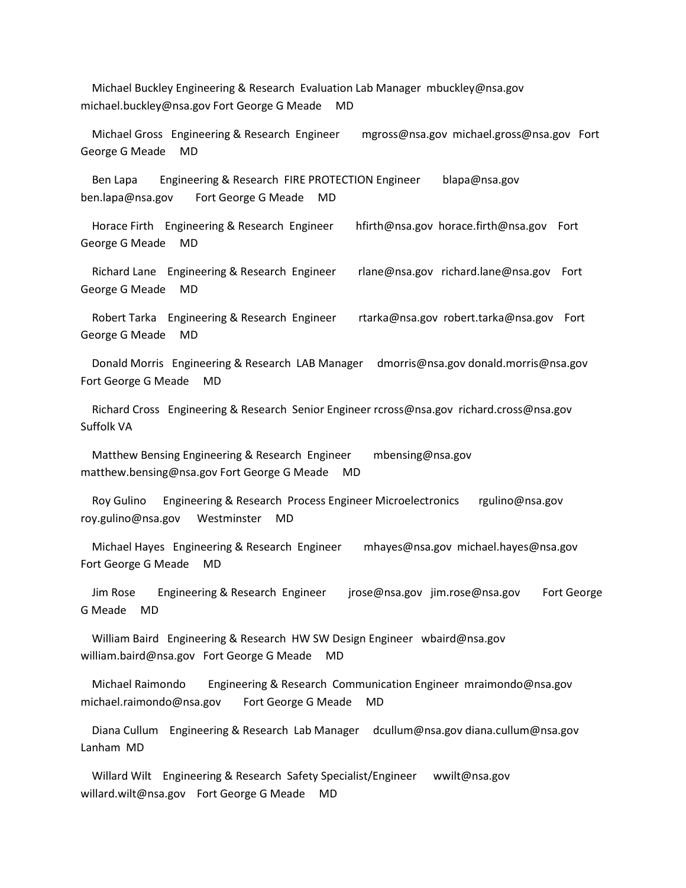Michael Buckley Engineering & Research Evaluation Lab Manager mbuckley@nsa.gov michael.buckley@nsa.gov Fort George G Meade MD

 Michael Gross Engineering & Research Engineer mgross@nsa.gov michael.gross@nsa.gov Fort George G Meade MD

 Ben Lapa Engineering & Research FIRE PROTECTION Engineer blapa@nsa.gov ben.lapa@nsa.gov Fort George G Meade MD

 Horace Firth Engineering & Research Engineer hfirth@nsa.gov horace.firth@nsa.gov Fort George G Meade MD

 Richard Lane Engineering & Research Engineer rlane@nsa.gov richard.lane@nsa.gov Fort George G Meade MD

 Robert Tarka Engineering & Research Engineer rtarka@nsa.gov robert.tarka@nsa.gov Fort George G Meade MD

 Donald Morris Engineering & Research LAB Manager dmorris@nsa.gov donald.morris@nsa.gov Fort George G Meade MD

 Richard Cross Engineering & Research Senior Engineer rcross@nsa.gov richard.cross@nsa.gov Suffolk VA

 Matthew Bensing Engineering & Research Engineer mbensing@nsa.gov matthew.bensing@nsa.gov Fort George G Meade MD

 Roy Gulino Engineering & Research Process Engineer Microelectronics rgulino@nsa.gov roy.gulino@nsa.gov Westminster MD

 Michael Hayes Engineering & Research Engineer mhayes@nsa.gov michael.hayes@nsa.gov Fort George G Meade MD

 Jim Rose Engineering & Research Engineer jrose@nsa.gov jim.rose@nsa.gov Fort George G Meade MD

 William Baird Engineering & Research HW SW Design Engineer wbaird@nsa.gov william.baird@nsa.gov Fort George G Meade MD

 Michael Raimondo Engineering & Research Communication Engineer mraimondo@nsa.gov michael.raimondo@nsa.gov Fort George G Meade MD

 Diana Cullum Engineering & Research Lab Manager dcullum@nsa.gov diana.cullum@nsa.gov Lanham MD

Willard Wilt Engineering & Research Safety Specialist/Engineer wwilt@nsa.gov willard.wilt@nsa.gov Fort George G Meade MD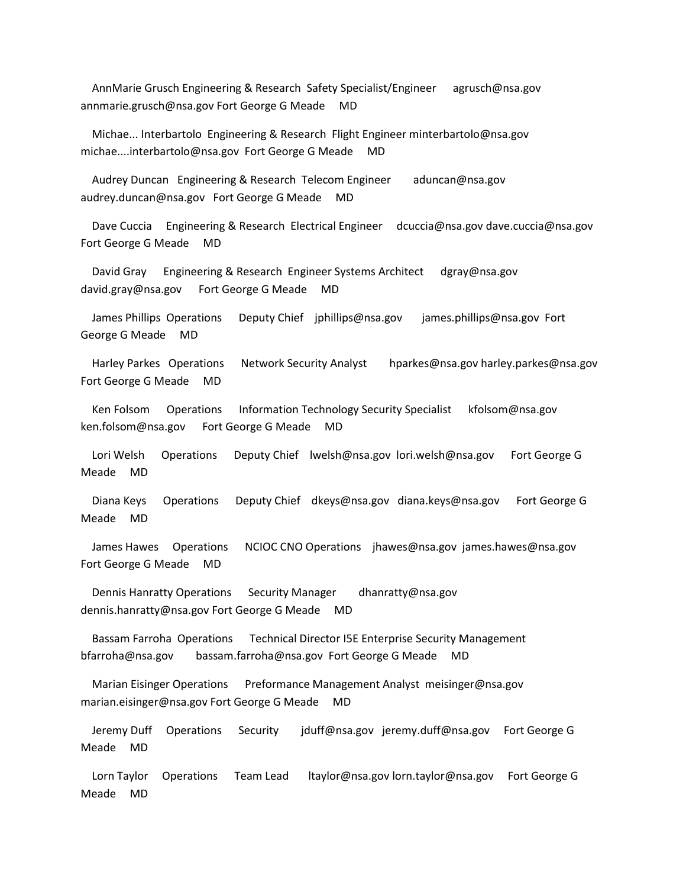AnnMarie Grusch Engineering & Research Safety Specialist/Engineer agrusch@nsa.gov annmarie.grusch@nsa.gov Fort George G Meade MD

 Michae... Interbartolo Engineering & Research Flight Engineer minterbartolo@nsa.gov michae....interbartolo@nsa.gov Fort George G Meade MD

 Audrey Duncan Engineering & Research Telecom Engineer aduncan@nsa.gov audrey.duncan@nsa.gov Fort George G Meade MD

 Dave Cuccia Engineering & Research Electrical Engineer dcuccia@nsa.gov dave.cuccia@nsa.gov Fort George G Meade MD

 David Gray Engineering & Research Engineer Systems Architect dgray@nsa.gov david.gray@nsa.gov Fort George G Meade MD

 James Phillips Operations Deputy Chief jphillips@nsa.gov james.phillips@nsa.gov Fort George G Meade MD

 Harley Parkes Operations Network Security Analyst hparkes@nsa.gov harley.parkes@nsa.gov Fort George G Meade MD

 Ken Folsom Operations Information Technology Security Specialist kfolsom@nsa.gov ken.folsom@nsa.gov Fort George G Meade MD

 Lori Welsh Operations Deputy Chief lwelsh@nsa.gov lori.welsh@nsa.gov Fort George G Meade MD

 Diana Keys Operations Deputy Chief dkeys@nsa.gov diana.keys@nsa.gov Fort George G Meade MD

 James Hawes Operations NCIOC CNO Operations jhawes@nsa.gov james.hawes@nsa.gov Fort George G Meade MD

 Dennis Hanratty Operations Security Manager dhanratty@nsa.gov dennis.hanratty@nsa.gov Fort George G Meade MD

 Bassam Farroha Operations Technical Director I5E Enterprise Security Management bfarroha@nsa.gov bassam.farroha@nsa.gov Fort George G Meade MD

 Marian Eisinger Operations Preformance Management Analyst meisinger@nsa.gov marian.eisinger@nsa.gov Fort George G Meade MD

 Jeremy Duff Operations Security jduff@nsa.gov jeremy.duff@nsa.gov Fort George G Meade MD

 Lorn Taylor Operations Team Lead ltaylor@nsa.gov lorn.taylor@nsa.gov Fort George G Meade MD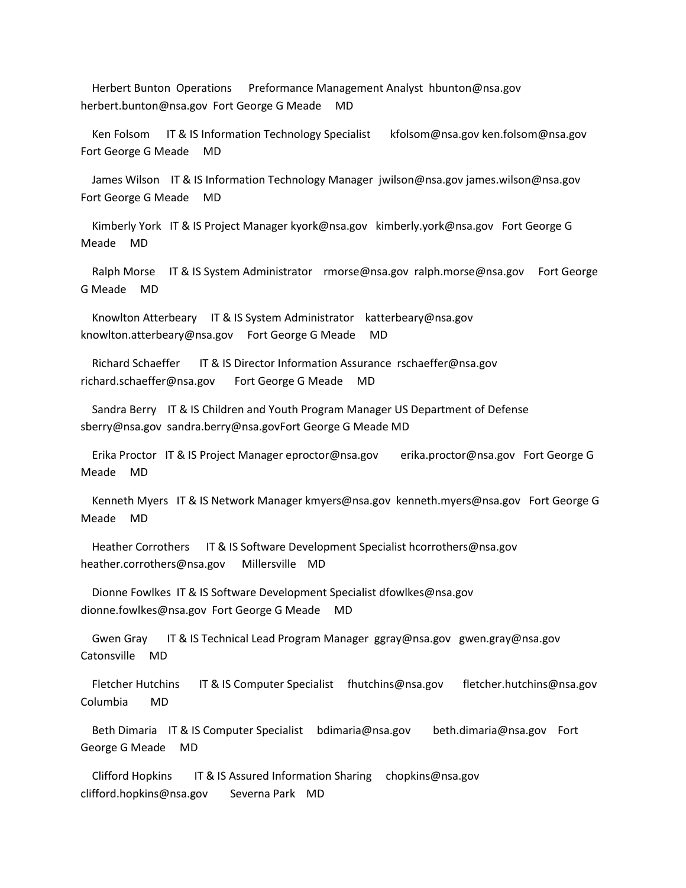Herbert Bunton Operations Preformance Management Analyst hbunton@nsa.gov herbert.bunton@nsa.gov Fort George G Meade MD

 Ken Folsom IT & IS Information Technology Specialist kfolsom@nsa.gov ken.folsom@nsa.gov Fort George G Meade MD

 James Wilson IT & IS Information Technology Manager jwilson@nsa.gov james.wilson@nsa.gov Fort George G Meade MD

 Kimberly York IT & IS Project Manager kyork@nsa.gov kimberly.york@nsa.gov Fort George G Meade MD

 Ralph Morse IT & IS System Administrator rmorse@nsa.gov ralph.morse@nsa.gov Fort George G Meade MD

 Knowlton Atterbeary IT & IS System Administrator katterbeary@nsa.gov knowlton.atterbeary@nsa.gov Fort George G Meade MD

Richard Schaeffer IT & IS Director Information Assurance rschaeffer@nsa.gov richard.schaeffer@nsa.gov Fort George G Meade MD

 Sandra Berry IT & IS Children and Youth Program Manager US Department of Defense sberry@nsa.gov sandra.berry@nsa.govFort George G Meade MD

 Erika Proctor IT & IS Project Manager eproctor@nsa.gov erika.proctor@nsa.gov Fort George G Meade MD

 Kenneth Myers IT & IS Network Manager kmyers@nsa.gov kenneth.myers@nsa.gov Fort George G Meade MD

Heather Corrothers IT & IS Software Development Specialist hcorrothers@nsa.gov heather.corrothers@nsa.gov Millersville MD

 Dionne Fowlkes IT & IS Software Development Specialist dfowlkes@nsa.gov dionne.fowlkes@nsa.gov Fort George G Meade MD

Gwen Gray IT & IS Technical Lead Program Manager ggray@nsa.gov gwen.gray@nsa.gov Catonsville MD

 Fletcher Hutchins IT & IS Computer Specialist fhutchins@nsa.gov fletcher.hutchins@nsa.gov Columbia MD

 Beth Dimaria IT & IS Computer Specialist bdimaria@nsa.gov beth.dimaria@nsa.gov Fort George G Meade MD

Clifford Hopkins IT & IS Assured Information Sharing chopkins@nsa.gov clifford.hopkins@nsa.gov Severna Park MD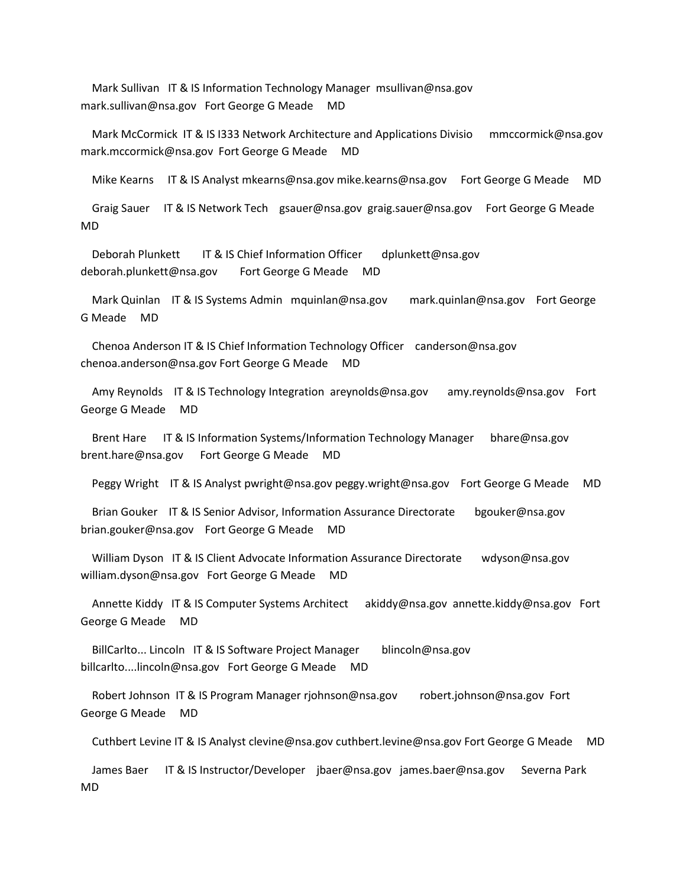Mark Sullivan IT & IS Information Technology Manager msullivan@nsa.gov mark.sullivan@nsa.gov Fort George G Meade MD

 Mark McCormick IT & IS I333 Network Architecture and Applications Divisio mmccormick@nsa.gov mark.mccormick@nsa.gov Fort George G Meade MD

Mike Kearns IT & IS Analyst mkearns@nsa.gov mike.kearns@nsa.gov Fort George G Meade MD

 Graig Sauer IT & IS Network Tech gsauer@nsa.gov graig.sauer@nsa.gov Fort George G Meade MD

Deborah Plunkett IT & IS Chief Information Officer dplunkett@nsa.gov deborah.plunkett@nsa.gov Fort George G Meade MD

 Mark Quinlan IT & IS Systems Admin mquinlan@nsa.gov mark.quinlan@nsa.gov Fort George G Meade MD

 Chenoa Anderson IT & IS Chief Information Technology Officer canderson@nsa.gov chenoa.anderson@nsa.gov Fort George G Meade MD

 Amy Reynolds IT & IS Technology Integration areynolds@nsa.gov amy.reynolds@nsa.gov Fort George G Meade MD

 Brent Hare IT & IS Information Systems/Information Technology Manager bhare@nsa.gov brent.hare@nsa.gov Fort George G Meade MD

Peggy Wright IT & IS Analyst pwright@nsa.gov peggy.wright@nsa.gov Fort George G Meade MD

Brian Gouker IT & IS Senior Advisor, Information Assurance Directorate bgouker@nsa.gov brian.gouker@nsa.gov Fort George G Meade MD

 William Dyson IT & IS Client Advocate Information Assurance Directorate wdyson@nsa.gov william.dyson@nsa.gov Fort George G Meade MD

 Annette Kiddy IT & IS Computer Systems Architect akiddy@nsa.gov annette.kiddy@nsa.gov Fort George G Meade MD

 BillCarlto... Lincoln IT & IS Software Project Manager blincoln@nsa.gov billcarlto....lincoln@nsa.gov Fort George G Meade MD

 Robert Johnson IT & IS Program Manager rjohnson@nsa.gov robert.johnson@nsa.gov Fort George G Meade MD

Cuthbert Levine IT & IS Analyst clevine@nsa.gov cuthbert.levine@nsa.gov Fort George G Meade MD

 James Baer IT & IS Instructor/Developer jbaer@nsa.gov james.baer@nsa.gov Severna Park MD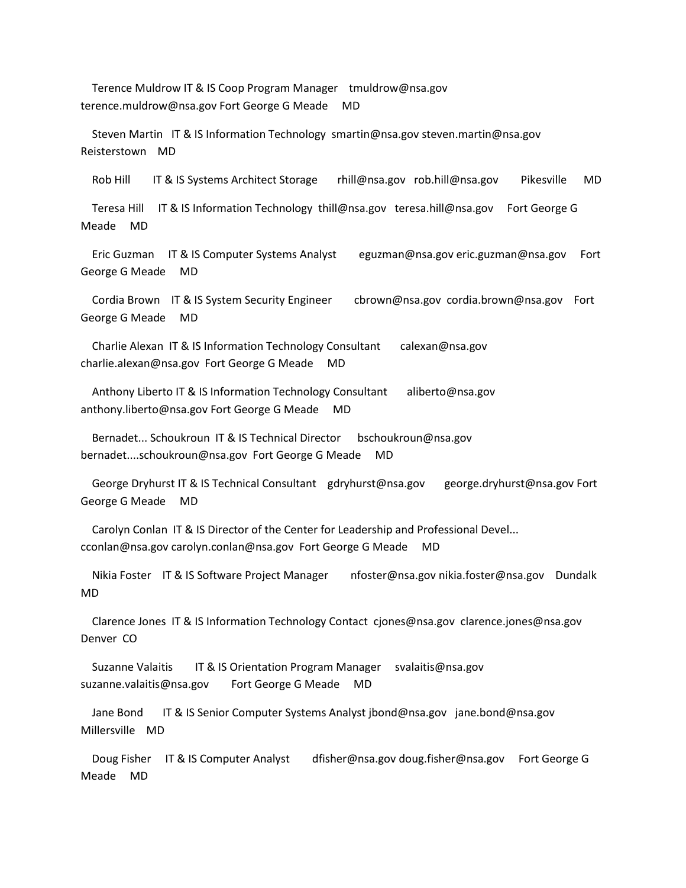Terence Muldrow IT & IS Coop Program Manager tmuldrow@nsa.gov terence.muldrow@nsa.gov Fort George G Meade MD

 Steven Martin IT & IS Information Technology smartin@nsa.gov steven.martin@nsa.gov Reisterstown MD

Rob Hill IT & IS Systems Architect Storage rhill@nsa.gov rob.hill@nsa.gov Pikesville MD

Teresa Hill IT & IS Information Technology thill@nsa.gov teresa.hill@nsa.gov Fort George G Meade MD

 Eric Guzman IT & IS Computer Systems Analyst eguzman@nsa.gov eric.guzman@nsa.gov Fort George G Meade MD

 Cordia Brown IT & IS System Security Engineer cbrown@nsa.gov cordia.brown@nsa.gov Fort George G Meade MD

 Charlie Alexan IT & IS Information Technology Consultant calexan@nsa.gov charlie.alexan@nsa.gov Fort George G Meade MD

Anthony Liberto IT & IS Information Technology Consultant aliberto@nsa.gov anthony.liberto@nsa.gov Fort George G Meade MD

 Bernadet... Schoukroun IT & IS Technical Director bschoukroun@nsa.gov bernadet....schoukroun@nsa.gov Fort George G Meade MD

 George Dryhurst IT & IS Technical Consultant gdryhurst@nsa.gov george.dryhurst@nsa.gov Fort George G Meade MD

 Carolyn Conlan IT & IS Director of the Center for Leadership and Professional Devel... cconlan@nsa.gov carolyn.conlan@nsa.gov Fort George G Meade MD

 Nikia Foster IT & IS Software Project Manager nfoster@nsa.gov nikia.foster@nsa.gov Dundalk MD

 Clarence Jones IT & IS Information Technology Contact cjones@nsa.gov clarence.jones@nsa.gov Denver CO

 Suzanne Valaitis IT & IS Orientation Program Manager svalaitis@nsa.gov suzanne.valaitis@nsa.gov Fort George G Meade MD

 Jane Bond IT & IS Senior Computer Systems Analyst jbond@nsa.gov jane.bond@nsa.gov Millersville MD

 Doug Fisher IT & IS Computer Analyst dfisher@nsa.gov doug.fisher@nsa.gov Fort George G Meade MD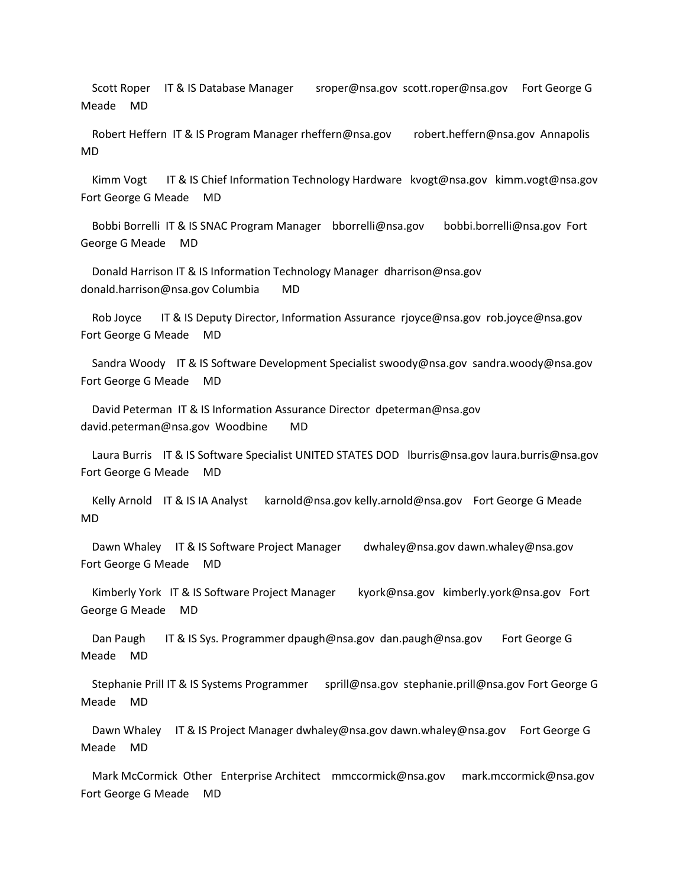Scott Roper IT & IS Database Manager sroper@nsa.gov scott.roper@nsa.gov Fort George G Meade MD

 Robert Heffern IT & IS Program Manager rheffern@nsa.gov robert.heffern@nsa.gov Annapolis MD

Kimm Vogt IT & IS Chief Information Technology Hardware kvogt@nsa.gov kimm.vogt@nsa.gov Fort George G Meade MD

 Bobbi Borrelli IT & IS SNAC Program Manager bborrelli@nsa.gov bobbi.borrelli@nsa.gov Fort George G Meade MD

 Donald Harrison IT & IS Information Technology Manager dharrison@nsa.gov donald.harrison@nsa.gov Columbia MD

Rob Joyce IT & IS Deputy Director, Information Assurance rjoyce@nsa.gov rob.joyce@nsa.gov Fort George G Meade MD

 Sandra Woody IT & IS Software Development Specialist swoody@nsa.gov sandra.woody@nsa.gov Fort George G Meade MD

 David Peterman IT & IS Information Assurance Director dpeterman@nsa.gov david.peterman@nsa.gov Woodbine MD

 Laura Burris IT & IS Software Specialist UNITED STATES DOD lburris@nsa.gov laura.burris@nsa.gov Fort George G Meade MD

 Kelly Arnold IT & IS IA Analyst karnold@nsa.gov kelly.arnold@nsa.gov Fort George G Meade MD

Dawn Whaley IT & IS Software Project Manager dwhaley@nsa.gov dawn.whaley@nsa.gov Fort George G Meade MD

 Kimberly York IT & IS Software Project Manager kyork@nsa.gov kimberly.york@nsa.gov Fort George G Meade MD

Dan Paugh IT & IS Sys. Programmer dpaugh@nsa.gov dan.paugh@nsa.gov Fort George G Meade MD

 Stephanie Prill IT & IS Systems Programmer sprill@nsa.gov stephanie.prill@nsa.gov Fort George G Meade MD

Dawn Whaley IT & IS Project Manager dwhaley@nsa.gov dawn.whaley@nsa.gov Fort George G Meade MD

 Mark McCormick Other Enterprise Architect mmccormick@nsa.gov mark.mccormick@nsa.gov Fort George G Meade MD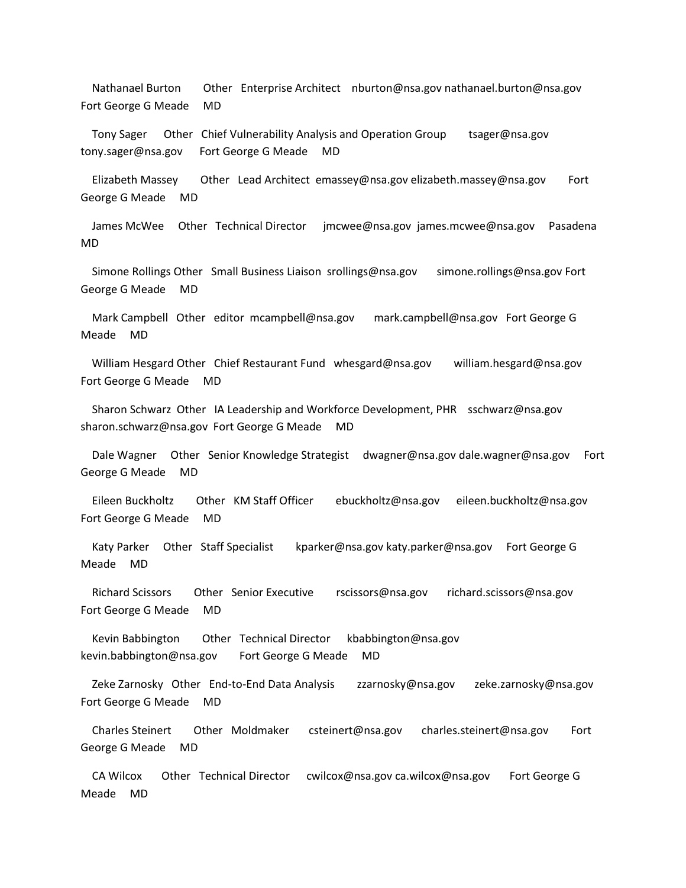Nathanael Burton Other Enterprise Architect nburton@nsa.gov nathanael.burton@nsa.gov Fort George G Meade MD

 Tony Sager Other Chief Vulnerability Analysis and Operation Group tsager@nsa.gov tony.sager@nsa.gov Fort George G Meade MD

 Elizabeth Massey Other Lead Architect emassey@nsa.gov elizabeth.massey@nsa.gov Fort George G Meade MD

 James McWee Other Technical Director jmcwee@nsa.gov james.mcwee@nsa.gov Pasadena MD

 Simone Rollings Other Small Business Liaison srollings@nsa.gov simone.rollings@nsa.gov Fort George G Meade MD

 Mark Campbell Other editor mcampbell@nsa.gov mark.campbell@nsa.gov Fort George G Meade MD

 William Hesgard Other Chief Restaurant Fund whesgard@nsa.gov william.hesgard@nsa.gov Fort George G Meade MD

 Sharon Schwarz Other IA Leadership and Workforce Development, PHR sschwarz@nsa.gov sharon.schwarz@nsa.gov Fort George G Meade MD

 Dale Wagner Other Senior Knowledge Strategist dwagner@nsa.gov dale.wagner@nsa.gov Fort George G Meade MD

 Eileen Buckholtz Other KM Staff Officer ebuckholtz@nsa.gov eileen.buckholtz@nsa.gov Fort George G Meade MD

Katy Parker Other Staff Specialist kparker@nsa.gov katy.parker@nsa.gov Fort George G Meade MD

 Richard Scissors Other Senior Executive rscissors@nsa.gov richard.scissors@nsa.gov Fort George G Meade MD

 Kevin Babbington Other Technical Director kbabbington@nsa.gov kevin.babbington@nsa.gov Fort George G Meade MD

 Zeke Zarnosky Other End-to-End Data Analysis zzarnosky@nsa.gov zeke.zarnosky@nsa.gov Fort George G Meade MD

 Charles Steinert Other Moldmaker csteinert@nsa.gov charles.steinert@nsa.gov Fort George G Meade MD

 CA Wilcox Other Technical Director cwilcox@nsa.gov ca.wilcox@nsa.gov Fort George G Meade MD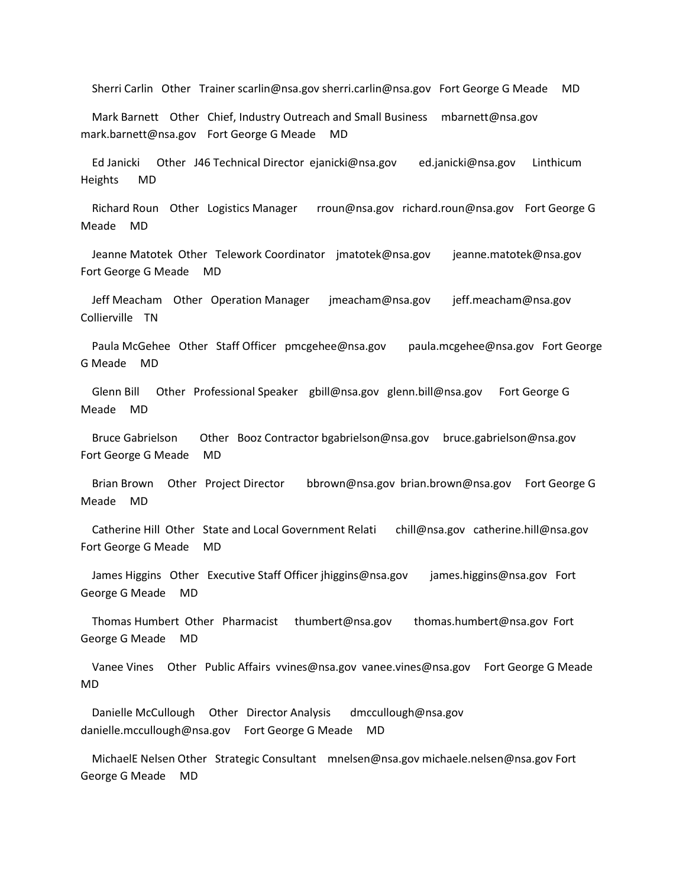Sherri Carlin Other Trainer scarlin@nsa.gov sherri.carlin@nsa.gov Fort George G Meade MD

 Mark Barnett Other Chief, Industry Outreach and Small Business mbarnett@nsa.gov mark.barnett@nsa.gov Fort George G Meade MD

 Ed Janicki Other J46 Technical Director ejanicki@nsa.gov ed.janicki@nsa.gov Linthicum Heights MD

 Richard Roun Other Logistics Manager rroun@nsa.gov richard.roun@nsa.gov Fort George G Meade MD

 Jeanne Matotek Other Telework Coordinator jmatotek@nsa.gov jeanne.matotek@nsa.gov Fort George G Meade MD

 Jeff Meacham Other Operation Manager jmeacham@nsa.gov jeff.meacham@nsa.gov Collierville TN

 Paula McGehee Other Staff Officer pmcgehee@nsa.gov paula.mcgehee@nsa.gov Fort George G Meade MD

 Glenn Bill Other Professional Speaker gbill@nsa.gov glenn.bill@nsa.gov Fort George G Meade MD

 Bruce Gabrielson Other Booz Contractor bgabrielson@nsa.gov bruce.gabrielson@nsa.gov Fort George G Meade MD

 Brian Brown Other Project Director bbrown@nsa.gov brian.brown@nsa.gov Fort George G Meade MD

 Catherine Hill Other State and Local Government Relati chill@nsa.gov catherine.hill@nsa.gov Fort George G Meade MD

 James Higgins Other Executive Staff Officer jhiggins@nsa.gov james.higgins@nsa.gov Fort George G Meade MD

 Thomas Humbert Other Pharmacist thumbert@nsa.gov thomas.humbert@nsa.gov Fort George G Meade MD

 Vanee Vines Other Public Affairs vvines@nsa.gov vanee.vines@nsa.gov Fort George G Meade MD

 Danielle McCullough Other Director Analysis dmccullough@nsa.gov danielle.mccullough@nsa.gov Fort George G Meade MD

 MichaelE Nelsen Other Strategic Consultant mnelsen@nsa.gov michaele.nelsen@nsa.gov Fort George G Meade MD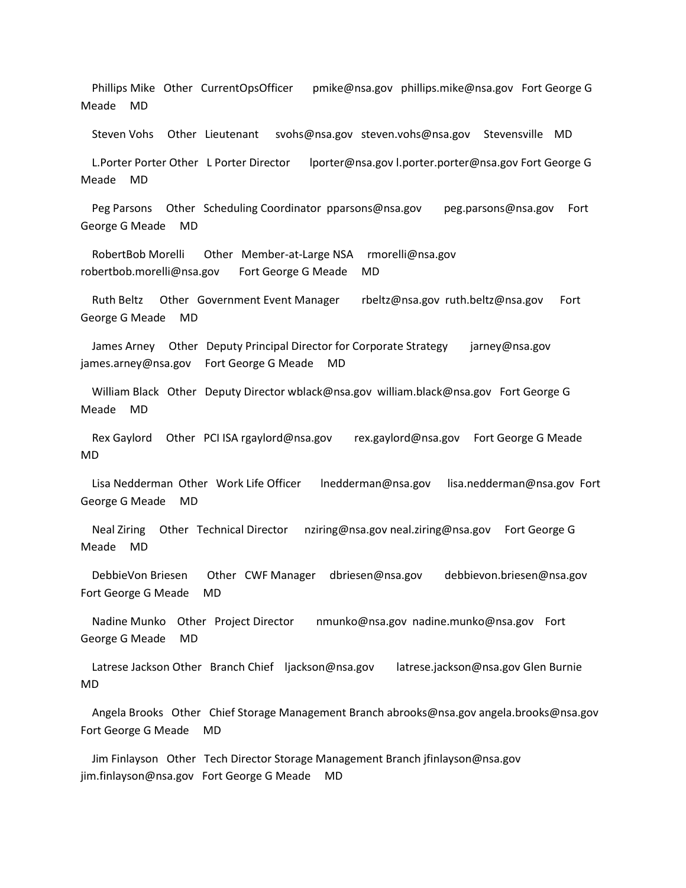Phillips Mike Other CurrentOpsOfficer pmike@nsa.gov phillips.mike@nsa.gov Fort George G Meade MD

Steven Vohs Other Lieutenant svohs@nsa.gov steven.vohs@nsa.gov Stevensville MD

 L.Porter Porter Other L Porter Director lporter@nsa.gov l.porter.porter@nsa.gov Fort George G Meade MD

 Peg Parsons Other Scheduling Coordinator pparsons@nsa.gov peg.parsons@nsa.gov Fort George G Meade MD

 RobertBob Morelli Other Member-at-Large NSA rmorelli@nsa.gov robertbob.morelli@nsa.gov Fort George G Meade MD

 Ruth Beltz Other Government Event Manager rbeltz@nsa.gov ruth.beltz@nsa.gov Fort George G Meade MD

James Arney Other Deputy Principal Director for Corporate Strategy jarney@nsa.gov james.arney@nsa.gov Fort George G Meade MD

 William Black Other Deputy Director wblack@nsa.gov william.black@nsa.gov Fort George G Meade MD

 Rex Gaylord Other PCI ISA rgaylord@nsa.gov rex.gaylord@nsa.gov Fort George G Meade MD

 Lisa Nedderman Other Work Life Officer lnedderman@nsa.gov lisa.nedderman@nsa.gov Fort George G Meade MD

 Neal Ziring Other Technical Director nziring@nsa.gov neal.ziring@nsa.gov Fort George G Meade MD

 DebbieVon Briesen Other CWF Manager dbriesen@nsa.gov debbievon.briesen@nsa.gov Fort George G Meade MD

 Nadine Munko Other Project Director nmunko@nsa.gov nadine.munko@nsa.gov Fort George G Meade MD

 Latrese Jackson Other Branch Chief ljackson@nsa.gov latrese.jackson@nsa.gov Glen Burnie MD

 Angela Brooks Other Chief Storage Management Branch abrooks@nsa.gov angela.brooks@nsa.gov Fort George G Meade MD

 Jim Finlayson Other Tech Director Storage Management Branch jfinlayson@nsa.gov jim.finlayson@nsa.gov Fort George G Meade MD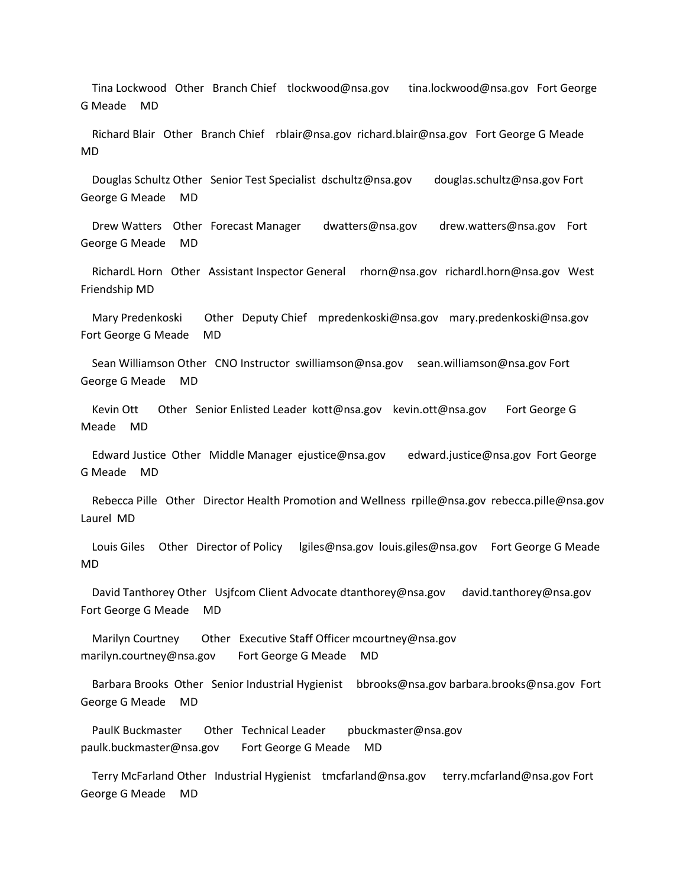Tina Lockwood Other Branch Chief tlockwood@nsa.gov tina.lockwood@nsa.gov Fort George G Meade MD

 Richard Blair Other Branch Chief rblair@nsa.gov richard.blair@nsa.gov Fort George G Meade MD

 Douglas Schultz Other Senior Test Specialist dschultz@nsa.gov douglas.schultz@nsa.gov Fort George G Meade MD

 Drew Watters Other Forecast Manager dwatters@nsa.gov drew.watters@nsa.gov Fort George G Meade MD

 RichardL Horn Other Assistant Inspector General rhorn@nsa.gov richardl.horn@nsa.gov West Friendship MD

 Mary Predenkoski Other Deputy Chief mpredenkoski@nsa.gov mary.predenkoski@nsa.gov Fort George G Meade MD

 Sean Williamson Other CNO Instructor swilliamson@nsa.gov sean.williamson@nsa.gov Fort George G Meade MD

 Kevin Ott Other Senior Enlisted Leader kott@nsa.gov kevin.ott@nsa.gov Fort George G Meade MD

 Edward Justice Other Middle Manager ejustice@nsa.gov edward.justice@nsa.gov Fort George G Meade MD

 Rebecca Pille Other Director Health Promotion and Wellness rpille@nsa.gov rebecca.pille@nsa.gov Laurel MD

Louis Giles Other Director of Policy lgiles@nsa.gov louis.giles@nsa.gov Fort George G Meade MD

 David Tanthorey Other Usjfcom Client Advocate dtanthorey@nsa.gov david.tanthorey@nsa.gov Fort George G Meade MD

Marilyn Courtney Other Executive Staff Officer mcourtney@nsa.gov marilyn.courtney@nsa.gov Fort George G Meade MD

 Barbara Brooks Other Senior Industrial Hygienist bbrooks@nsa.gov barbara.brooks@nsa.gov Fort George G Meade MD

 PaulK Buckmaster Other Technical Leader pbuckmaster@nsa.gov paulk.buckmaster@nsa.gov Fort George G Meade MD

 Terry McFarland Other Industrial Hygienist tmcfarland@nsa.gov terry.mcfarland@nsa.gov Fort George G Meade MD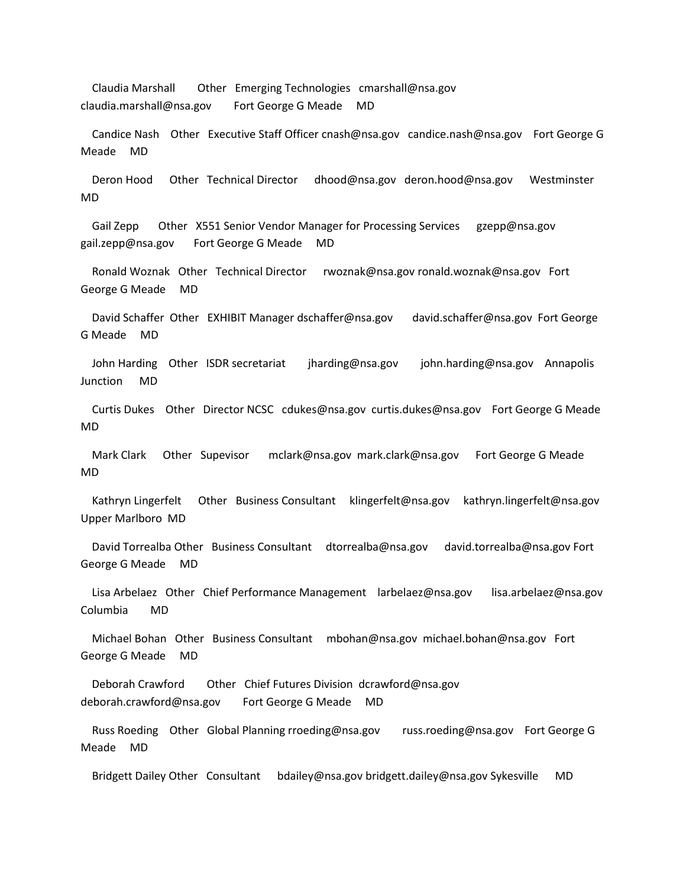Claudia Marshall Other Emerging Technologies cmarshall@nsa.gov claudia.marshall@nsa.gov Fort George G Meade MD

 Candice Nash Other Executive Staff Officer cnash@nsa.gov candice.nash@nsa.gov Fort George G Meade MD

 Deron Hood Other Technical Director dhood@nsa.gov deron.hood@nsa.gov Westminster MD

 Gail Zepp Other X551 Senior Vendor Manager for Processing Services gzepp@nsa.gov gail.zepp@nsa.gov Fort George G Meade MD

 Ronald Woznak Other Technical Director rwoznak@nsa.gov ronald.woznak@nsa.gov Fort George G Meade MD

 David Schaffer Other EXHIBIT Manager dschaffer@nsa.gov david.schaffer@nsa.gov Fort George G Meade MD

 John Harding Other ISDR secretariat jharding@nsa.gov john.harding@nsa.gov Annapolis Junction MD

 Curtis Dukes Other Director NCSC cdukes@nsa.gov curtis.dukes@nsa.gov Fort George G Meade MD

 Mark Clark Other Supevisor mclark@nsa.gov mark.clark@nsa.gov Fort George G Meade MD

 Kathryn Lingerfelt Other Business Consultant klingerfelt@nsa.gov kathryn.lingerfelt@nsa.gov Upper Marlboro MD

 David Torrealba Other Business Consultant dtorrealba@nsa.gov david.torrealba@nsa.gov Fort George G Meade MD

 Lisa Arbelaez Other Chief Performance Management larbelaez@nsa.gov lisa.arbelaez@nsa.gov Columbia MD

 Michael Bohan Other Business Consultant mbohan@nsa.gov michael.bohan@nsa.gov Fort George G Meade MD

 Deborah Crawford Other Chief Futures Division dcrawford@nsa.gov deborah.crawford@nsa.gov Fort George G Meade MD

 Russ Roeding Other Global Planning rroeding@nsa.gov russ.roeding@nsa.gov Fort George G Meade MD

Bridgett Dailey Other Consultant bdailey@nsa.gov bridgett.dailey@nsa.gov Sykesville MD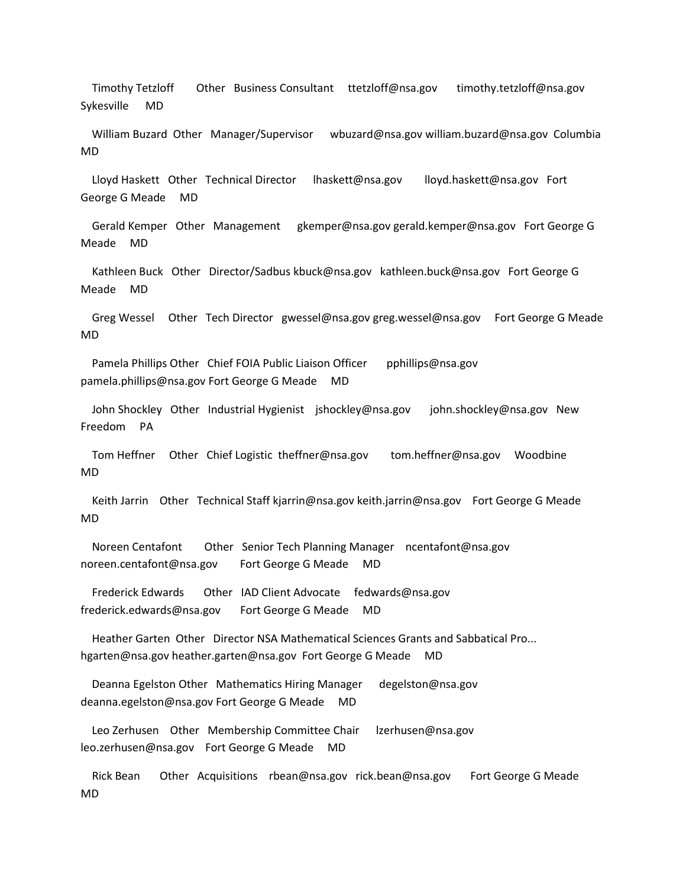Timothy Tetzloff Other Business Consultant ttetzloff@nsa.gov timothy.tetzloff@nsa.gov Sykesville MD

 William Buzard Other Manager/Supervisor wbuzard@nsa.gov william.buzard@nsa.gov Columbia MD

 Lloyd Haskett Other Technical Director lhaskett@nsa.gov lloyd.haskett@nsa.gov Fort George G Meade MD

 Gerald Kemper Other Management gkemper@nsa.gov gerald.kemper@nsa.gov Fort George G Meade MD

 Kathleen Buck Other Director/Sadbus kbuck@nsa.gov kathleen.buck@nsa.gov Fort George G Meade MD

 Greg Wessel Other Tech Director gwessel@nsa.gov greg.wessel@nsa.gov Fort George G Meade MD

Pamela Phillips Other Chief FOIA Public Liaison Officer pphillips@nsa.gov pamela.phillips@nsa.gov Fort George G Meade MD

 John Shockley Other Industrial Hygienist jshockley@nsa.gov john.shockley@nsa.gov New Freedom PA

 Tom Heffner Other Chief Logistic theffner@nsa.gov tom.heffner@nsa.gov Woodbine MD

 Keith Jarrin Other Technical Staff kjarrin@nsa.gov keith.jarrin@nsa.gov Fort George G Meade MD

 Noreen Centafont Other Senior Tech Planning Manager ncentafont@nsa.gov noreen.centafont@nsa.gov Fort George G Meade MD

 Frederick Edwards Other IAD Client Advocate fedwards@nsa.gov frederick.edwards@nsa.gov Fort George G Meade MD

 Heather Garten Other Director NSA Mathematical Sciences Grants and Sabbatical Pro... hgarten@nsa.gov heather.garten@nsa.gov Fort George G Meade MD

 Deanna Egelston Other Mathematics Hiring Manager degelston@nsa.gov deanna.egelston@nsa.gov Fort George G Meade MD

 Leo Zerhusen Other Membership Committee Chair lzerhusen@nsa.gov leo.zerhusen@nsa.gov Fort George G Meade MD

 Rick Bean Other Acquisitions rbean@nsa.gov rick.bean@nsa.gov Fort George G Meade MD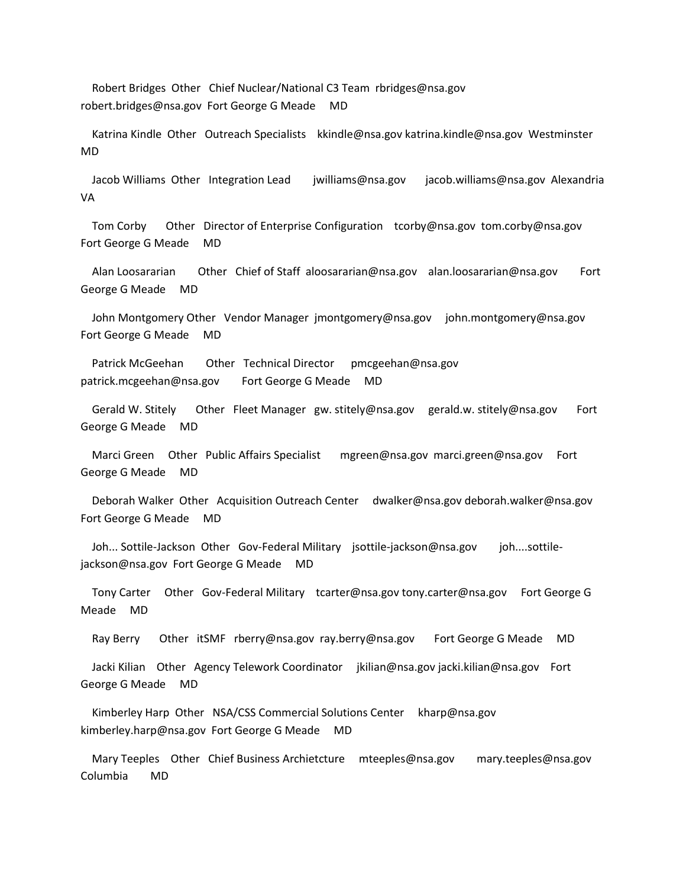Robert Bridges Other Chief Nuclear/National C3 Team rbridges@nsa.gov robert.bridges@nsa.gov Fort George G Meade MD

 Katrina Kindle Other Outreach Specialists kkindle@nsa.gov katrina.kindle@nsa.gov Westminster MD

 Jacob Williams Other Integration Lead jwilliams@nsa.gov jacob.williams@nsa.gov Alexandria VA

 Tom Corby Other Director of Enterprise Configuration tcorby@nsa.gov tom.corby@nsa.gov Fort George G Meade MD

 Alan Loosararian Other Chief of Staff aloosararian@nsa.gov alan.loosararian@nsa.gov Fort George G Meade MD

 John Montgomery Other Vendor Manager jmontgomery@nsa.gov john.montgomery@nsa.gov Fort George G Meade MD

 Patrick McGeehan Other Technical Director pmcgeehan@nsa.gov patrick.mcgeehan@nsa.gov Fort George G Meade MD

 Gerald W. Stitely Other Fleet Manager gw. stitely@nsa.gov gerald.w. stitely@nsa.gov Fort George G Meade MD

 Marci Green Other Public Affairs Specialist mgreen@nsa.gov marci.green@nsa.gov Fort George G Meade MD

 Deborah Walker Other Acquisition Outreach Center dwalker@nsa.gov deborah.walker@nsa.gov Fort George G Meade MD

 Joh... Sottile-Jackson Other Gov-Federal Military jsottile-jackson@nsa.gov joh....sottilejackson@nsa.gov Fort George G Meade MD

 Tony Carter Other Gov-Federal Military tcarter@nsa.gov tony.carter@nsa.gov Fort George G Meade MD

Ray Berry Other itSMF rberry@nsa.gov ray.berry@nsa.gov Fort George G Meade MD

 Jacki Kilian Other Agency Telework Coordinator jkilian@nsa.gov jacki.kilian@nsa.gov Fort George G Meade MD

 Kimberley Harp Other NSA/CSS Commercial Solutions Center kharp@nsa.gov kimberley.harp@nsa.gov Fort George G Meade MD

 Mary Teeples Other Chief Business Archietcture mteeples@nsa.gov mary.teeples@nsa.gov Columbia MD